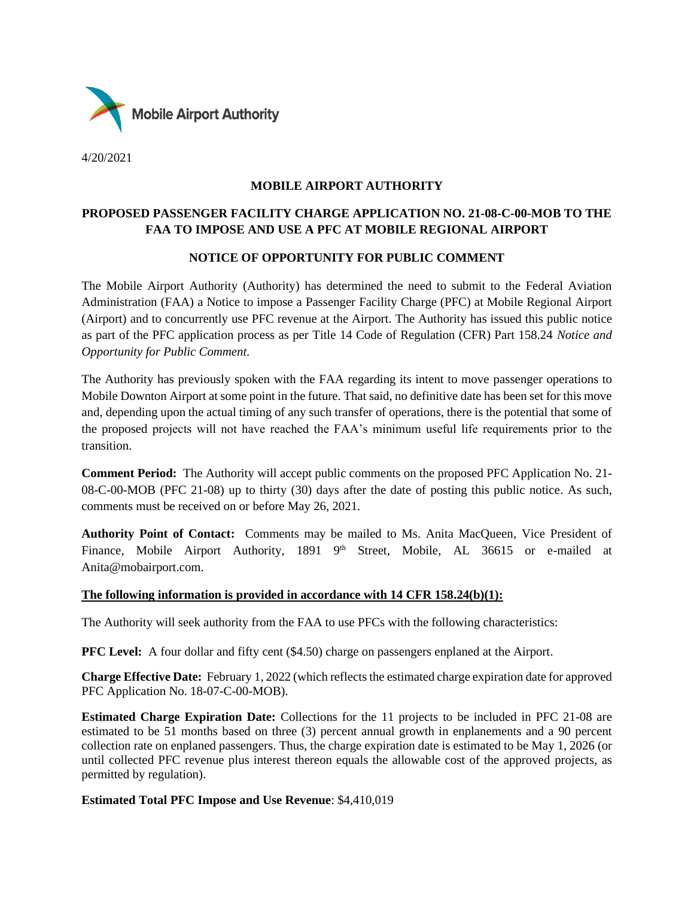

4/20/2021

### **MOBILE AIRPORT AUTHORITY**

## **PROPOSED PASSENGER FACILITY CHARGE APPLICATION NO. 21-08-C-00-MOB TO THE FAA TO IMPOSE AND USE A PFC AT MOBILE REGIONAL AIRPORT**

### **NOTICE OF OPPORTUNITY FOR PUBLIC COMMENT**

The Mobile Airport Authority (Authority) has determined the need to submit to the Federal Aviation Administration (FAA) a Notice to impose a Passenger Facility Charge (PFC) at Mobile Regional Airport (Airport) and to concurrently use PFC revenue at the Airport. The Authority has issued this public notice as part of the PFC application process as per Title 14 Code of Regulation (CFR) Part 158.24 *Notice and Opportunity for Public Comment.*

The Authority has previously spoken with the FAA regarding its intent to move passenger operations to Mobile Downton Airport at some point in the future. That said, no definitive date has been set for this move and, depending upon the actual timing of any such transfer of operations, there is the potential that some of the proposed projects will not have reached the FAA's minimum useful life requirements prior to the transition.

**Comment Period:** The Authority will accept public comments on the proposed PFC Application No. 21- 08-C-00-MOB (PFC 21-08) up to thirty (30) days after the date of posting this public notice. As such, comments must be received on or before May 26, 2021.

**Authority Point of Contact:** Comments may be mailed to Ms. Anita MacQueen, Vice President of Finance, Mobile Airport Authority, 1891 9<sup>th</sup> Street, Mobile, AL 36615 or e-mailed at Anita@mobairport.com.

#### **The following information is provided in accordance with 14 CFR 158.24(b)(1):**

The Authority will seek authority from the FAA to use PFCs with the following characteristics:

**PFC Level:** A four dollar and fifty cent (\$4.50) charge on passengers enplaned at the Airport.

**Charge Effective Date:** February 1, 2022 (which reflects the estimated charge expiration date for approved PFC Application No. 18-07-C-00-MOB).

**Estimated Charge Expiration Date:** Collections for the 11 projects to be included in PFC 21-08 are estimated to be 51 months based on three (3) percent annual growth in enplanements and a 90 percent collection rate on enplaned passengers. Thus, the charge expiration date is estimated to be May 1, 2026 (or until collected PFC revenue plus interest thereon equals the allowable cost of the approved projects, as permitted by regulation).

#### **Estimated Total PFC Impose and Use Revenue**: \$4,410,019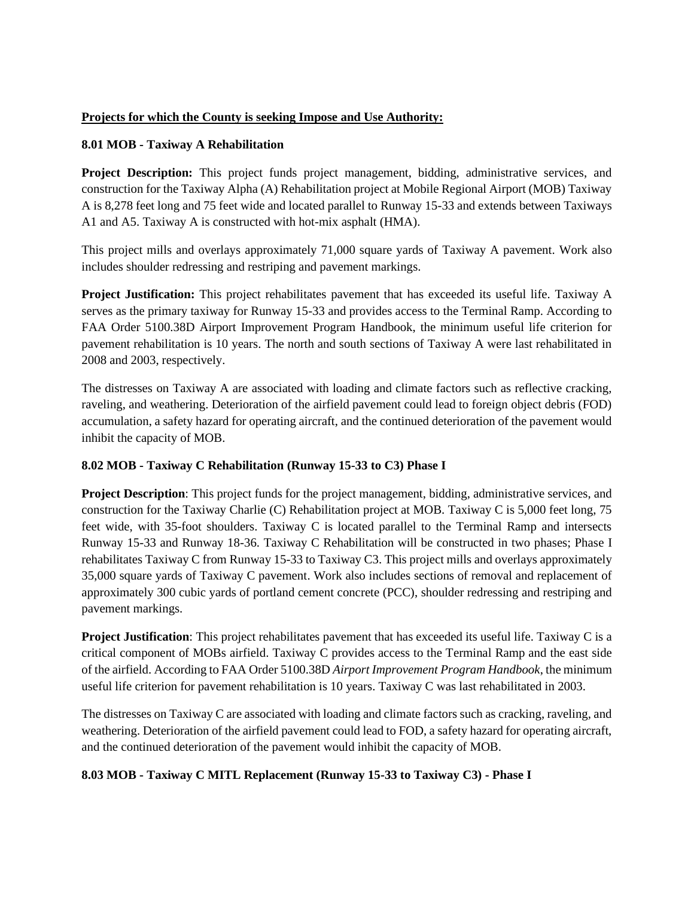### **Projects for which the County is seeking Impose and Use Authority:**

### **8.01 MOB - Taxiway A Rehabilitation**

**Project Description:** This project funds project management, bidding, administrative services, and construction for the Taxiway Alpha (A) Rehabilitation project at Mobile Regional Airport (MOB) Taxiway A is 8,278 feet long and 75 feet wide and located parallel to Runway 15-33 and extends between Taxiways A1 and A5. Taxiway A is constructed with hot-mix asphalt (HMA).

This project mills and overlays approximately 71,000 square yards of Taxiway A pavement. Work also includes shoulder redressing and restriping and pavement markings.

**Project Justification:** This project rehabilitates pavement that has exceeded its useful life. Taxiway A serves as the primary taxiway for Runway 15-33 and provides access to the Terminal Ramp. According to FAA Order 5100.38D Airport Improvement Program Handbook, the minimum useful life criterion for pavement rehabilitation is 10 years. The north and south sections of Taxiway A were last rehabilitated in 2008 and 2003, respectively.

The distresses on Taxiway A are associated with loading and climate factors such as reflective cracking, raveling, and weathering. Deterioration of the airfield pavement could lead to foreign object debris (FOD) accumulation, a safety hazard for operating aircraft, and the continued deterioration of the pavement would inhibit the capacity of MOB.

## **8.02 MOB - Taxiway C Rehabilitation (Runway 15-33 to C3) Phase I**

**Project Description**: This project funds for the project management, bidding, administrative services, and construction for the Taxiway Charlie (C) Rehabilitation project at MOB. Taxiway C is 5,000 feet long, 75 feet wide, with 35-foot shoulders. Taxiway C is located parallel to the Terminal Ramp and intersects Runway 15-33 and Runway 18-36. Taxiway C Rehabilitation will be constructed in two phases; Phase I rehabilitates Taxiway C from Runway 15-33 to Taxiway C3. This project mills and overlays approximately 35,000 square yards of Taxiway C pavement. Work also includes sections of removal and replacement of approximately 300 cubic yards of portland cement concrete (PCC), shoulder redressing and restriping and pavement markings.

**Project Justification**: This project rehabilitates pavement that has exceeded its useful life. Taxiway C is a critical component of MOBs airfield. Taxiway C provides access to the Terminal Ramp and the east side of the airfield. According to FAA Order 5100.38D *Airport Improvement Program Handbook*, the minimum useful life criterion for pavement rehabilitation is 10 years. Taxiway C was last rehabilitated in 2003.

The distresses on Taxiway C are associated with loading and climate factors such as cracking, raveling, and weathering. Deterioration of the airfield pavement could lead to FOD, a safety hazard for operating aircraft, and the continued deterioration of the pavement would inhibit the capacity of MOB.

## **8.03 MOB - Taxiway C MITL Replacement (Runway 15-33 to Taxiway C3) - Phase I**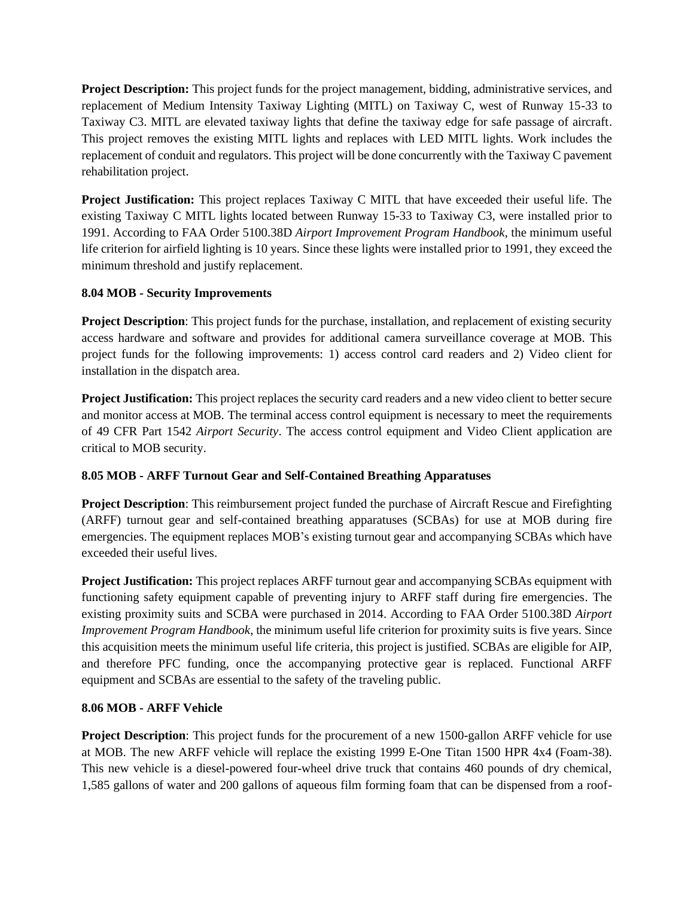**Project Description:** This project funds for the project management, bidding, administrative services, and replacement of Medium Intensity Taxiway Lighting (MITL) on Taxiway C, west of Runway 15-33 to Taxiway C3. MITL are elevated taxiway lights that define the taxiway edge for safe passage of aircraft. This project removes the existing MITL lights and replaces with LED MITL lights. Work includes the replacement of conduit and regulators. This project will be done concurrently with the Taxiway C pavement rehabilitation project.

**Project Justification:** This project replaces Taxiway C MITL that have exceeded their useful life. The existing Taxiway C MITL lights located between Runway 15-33 to Taxiway C3, were installed prior to 1991. According to FAA Order 5100.38D *Airport Improvement Program Handbook*, the minimum useful life criterion for airfield lighting is 10 years. Since these lights were installed prior to 1991, they exceed the minimum threshold and justify replacement.

# **8.04 MOB - Security Improvements**

**Project Description**: This project funds for the purchase, installation, and replacement of existing security access hardware and software and provides for additional camera surveillance coverage at MOB. This project funds for the following improvements: 1) access control card readers and 2) Video client for installation in the dispatch area.

**Project Justification:** This project replaces the security card readers and a new video client to better secure and monitor access at MOB. The terminal access control equipment is necessary to meet the requirements of 49 CFR Part 1542 *Airport Security*. The access control equipment and Video Client application are critical to MOB security.

# **8.05 MOB - ARFF Turnout Gear and Self-Contained Breathing Apparatuses**

**Project Description**: This reimbursement project funded the purchase of Aircraft Rescue and Firefighting (ARFF) turnout gear and self-contained breathing apparatuses (SCBAs) for use at MOB during fire emergencies. The equipment replaces MOB's existing turnout gear and accompanying SCBAs which have exceeded their useful lives.

**Project Justification:** This project replaces ARFF turnout gear and accompanying SCBAs equipment with functioning safety equipment capable of preventing injury to ARFF staff during fire emergencies. The existing proximity suits and SCBA were purchased in 2014. According to FAA Order 5100.38D *Airport Improvement Program Handbook*, the minimum useful life criterion for proximity suits is five years. Since this acquisition meets the minimum useful life criteria, this project is justified. SCBAs are eligible for AIP, and therefore PFC funding, once the accompanying protective gear is replaced. Functional ARFF equipment and SCBAs are essential to the safety of the traveling public.

# **8.06 MOB - ARFF Vehicle**

**Project Description**: This project funds for the procurement of a new 1500-gallon ARFF vehicle for use at MOB. The new ARFF vehicle will replace the existing 1999 E-One Titan 1500 HPR 4x4 (Foam-38). This new vehicle is a diesel-powered four-wheel drive truck that contains 460 pounds of dry chemical, 1,585 gallons of water and 200 gallons of aqueous film forming foam that can be dispensed from a roof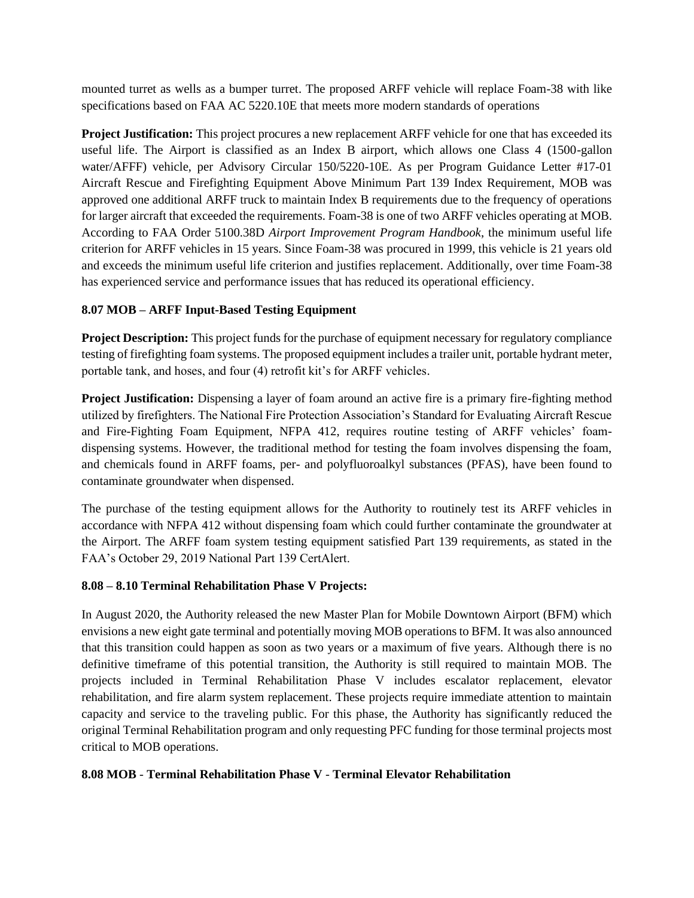mounted turret as wells as a bumper turret. The proposed ARFF vehicle will replace Foam-38 with like specifications based on FAA AC 5220.10E that meets more modern standards of operations

**Project Justification:** This project procures a new replacement ARFF vehicle for one that has exceeded its useful life. The Airport is classified as an Index B airport, which allows one Class 4 (1500-gallon water/AFFF) vehicle, per Advisory Circular 150/5220-10E. As per Program Guidance Letter #17-01 Aircraft Rescue and Firefighting Equipment Above Minimum Part 139 Index Requirement, MOB was approved one additional ARFF truck to maintain Index B requirements due to the frequency of operations for larger aircraft that exceeded the requirements. Foam-38 is one of two ARFF vehicles operating at MOB. According to FAA Order 5100.38D *Airport Improvement Program Handbook*, the minimum useful life criterion for ARFF vehicles in 15 years. Since Foam-38 was procured in 1999, this vehicle is 21 years old and exceeds the minimum useful life criterion and justifies replacement. Additionally, over time Foam-38 has experienced service and performance issues that has reduced its operational efficiency.

# **8.07 MOB – ARFF Input-Based Testing Equipment**

**Project Description:** This project funds for the purchase of equipment necessary for regulatory compliance testing of firefighting foam systems. The proposed equipment includes a trailer unit, portable hydrant meter, portable tank, and hoses, and four (4) retrofit kit's for ARFF vehicles.

**Project Justification:** Dispensing a layer of foam around an active fire is a primary fire-fighting method utilized by firefighters. The National Fire Protection Association's Standard for Evaluating Aircraft Rescue and Fire-Fighting Foam Equipment, NFPA 412, requires routine testing of ARFF vehicles' foamdispensing systems. However, the traditional method for testing the foam involves dispensing the foam, and chemicals found in ARFF foams, per- and polyfluoroalkyl substances (PFAS), have been found to contaminate groundwater when dispensed.

The purchase of the testing equipment allows for the Authority to routinely test its ARFF vehicles in accordance with NFPA 412 without dispensing foam which could further contaminate the groundwater at the Airport. The ARFF foam system testing equipment satisfied Part 139 requirements, as stated in the FAA's October 29, 2019 National Part 139 CertAlert.

## **8.08 – 8.10 Terminal Rehabilitation Phase V Projects:**

In August 2020, the Authority released the new Master Plan for Mobile Downtown Airport (BFM) which envisions a new eight gate terminal and potentially moving MOB operations to BFM. It was also announced that this transition could happen as soon as two years or a maximum of five years. Although there is no definitive timeframe of this potential transition, the Authority is still required to maintain MOB. The projects included in Terminal Rehabilitation Phase V includes escalator replacement, elevator rehabilitation, and fire alarm system replacement. These projects require immediate attention to maintain capacity and service to the traveling public. For this phase, the Authority has significantly reduced the original Terminal Rehabilitation program and only requesting PFC funding for those terminal projects most critical to MOB operations.

#### **8.08 MOB** - **Terminal Rehabilitation Phase V** - **Terminal Elevator Rehabilitation**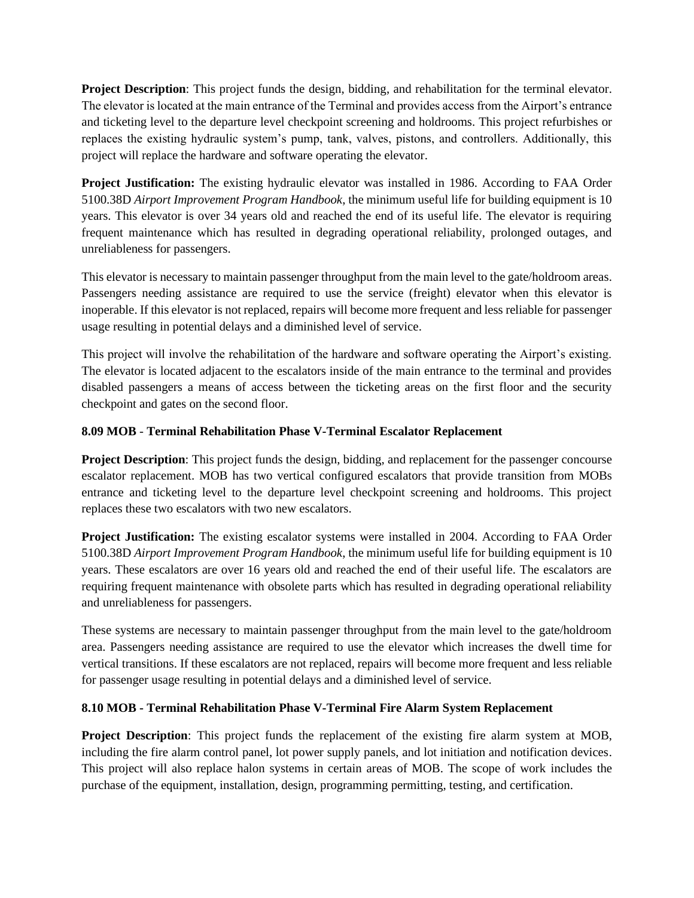**Project Description**: This project funds the design, bidding, and rehabilitation for the terminal elevator. The elevator is located at the main entrance of the Terminal and provides access from the Airport's entrance and ticketing level to the departure level checkpoint screening and holdrooms. This project refurbishes or replaces the existing hydraulic system's pump, tank, valves, pistons, and controllers. Additionally, this project will replace the hardware and software operating the elevator.

**Project Justification:** The existing hydraulic elevator was installed in 1986. According to FAA Order 5100.38D *Airport Improvement Program Handbook*, the minimum useful life for building equipment is 10 years. This elevator is over 34 years old and reached the end of its useful life. The elevator is requiring frequent maintenance which has resulted in degrading operational reliability, prolonged outages, and unreliableness for passengers.

This elevator is necessary to maintain passenger throughput from the main level to the gate/holdroom areas. Passengers needing assistance are required to use the service (freight) elevator when this elevator is inoperable. If this elevator is not replaced, repairs will become more frequent and less reliable for passenger usage resulting in potential delays and a diminished level of service.

This project will involve the rehabilitation of the hardware and software operating the Airport's existing. The elevator is located adjacent to the escalators inside of the main entrance to the terminal and provides disabled passengers a means of access between the ticketing areas on the first floor and the security checkpoint and gates on the second floor.

## **8.09 MOB** - **Terminal Rehabilitation Phase V-Terminal Escalator Replacement**

**Project Description**: This project funds the design, bidding, and replacement for the passenger concourse escalator replacement. MOB has two vertical configured escalators that provide transition from MOBs entrance and ticketing level to the departure level checkpoint screening and holdrooms. This project replaces these two escalators with two new escalators.

**Project Justification:** The existing escalator systems were installed in 2004. According to FAA Order 5100.38D *Airport Improvement Program Handbook*, the minimum useful life for building equipment is 10 years. These escalators are over 16 years old and reached the end of their useful life. The escalators are requiring frequent maintenance with obsolete parts which has resulted in degrading operational reliability and unreliableness for passengers.

These systems are necessary to maintain passenger throughput from the main level to the gate/holdroom area. Passengers needing assistance are required to use the elevator which increases the dwell time for vertical transitions. If these escalators are not replaced, repairs will become more frequent and less reliable for passenger usage resulting in potential delays and a diminished level of service.

## **8.10 MOB - Terminal Rehabilitation Phase V-Terminal Fire Alarm System Replacement**

**Project Description**: This project funds the replacement of the existing fire alarm system at MOB, including the fire alarm control panel, lot power supply panels, and lot initiation and notification devices. This project will also replace halon systems in certain areas of MOB. The scope of work includes the purchase of the equipment, installation, design, programming permitting, testing, and certification.